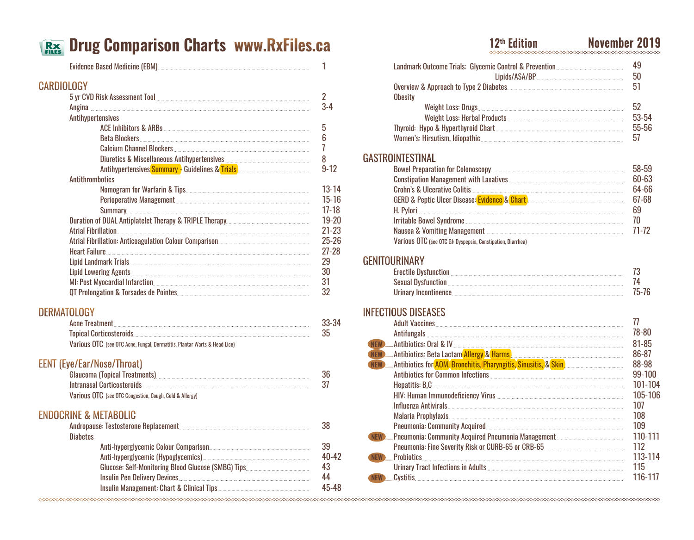# **Drug Comparison Charts www.RxFiles.ca**

|                                                                           | 1               |
|---------------------------------------------------------------------------|-----------------|
| <b>CARDIOLOGY</b>                                                         |                 |
|                                                                           | $\overline{2}$  |
|                                                                           | $3 - 4$         |
| Antihypertensives                                                         |                 |
|                                                                           | 5               |
|                                                                           | 6               |
|                                                                           | 7               |
|                                                                           | 8               |
|                                                                           | $9 - 12$        |
| <b>Antithrombotics</b>                                                    |                 |
|                                                                           | $13 - 14$       |
|                                                                           | $15-16$         |
|                                                                           | $17 - 18$       |
|                                                                           | $19 - 20$       |
|                                                                           | $21 - 23$       |
|                                                                           | $25 - 26$       |
|                                                                           | $27 - 28$<br>29 |
|                                                                           | 30              |
|                                                                           | 31              |
|                                                                           | 32              |
|                                                                           |                 |
| <b>DERMATOLOGY</b>                                                        |                 |
|                                                                           | 33-34           |
|                                                                           | 35              |
| Various OTC (see OTC Acne, Fungal, Dermatitis, Plantar Warts & Head Lice) |                 |
|                                                                           |                 |
| <b>EENT (Eye/Ear/Nose/Throat)</b>                                         |                 |
|                                                                           | 36              |
|                                                                           | 37              |
| Various OTC (see OTC Congestion, Cough, Cold & Allergy)                   |                 |
| <b>ENDOCRINE &amp; METABOLIC</b>                                          |                 |
|                                                                           | 38              |
| <b>Diabetes</b>                                                           |                 |
|                                                                           | 39              |
|                                                                           | $40 - 42$       |
|                                                                           | 43              |
|                                                                           | 44              |
|                                                                           | 45-48           |

## **12th Edition November 2019**

| Lipids/ASA/BP                           | 50    |
|-----------------------------------------|-------|
|                                         | 51    |
| <b>Obesity</b>                          |       |
|                                         | 52    |
|                                         | 53-54 |
|                                         | 55-56 |
|                                         | 57    |
| <b>GASTROINTESTINAL</b>                 |       |
| <b>Rowal Pranaration for Colongcopy</b> |       |

|                                                                                                                                                                                                                                     | 58-59 |
|-------------------------------------------------------------------------------------------------------------------------------------------------------------------------------------------------------------------------------------|-------|
|                                                                                                                                                                                                                                     | 60-63 |
|                                                                                                                                                                                                                                     | 64-66 |
| GERD & Peptic Ulcer Disease: Evidence & Chart   Marshall Allen Marshall Marshall Marshall Marshall Marshall Ma                                                                                                                      | 67-68 |
|                                                                                                                                                                                                                                     | 69    |
|                                                                                                                                                                                                                                     | 70    |
| Nausea & Vomiting Management <b>Manual According to the Contract Of Contract According Management</b> Manual According Manual According Manual According Manual According Manual According Manual According Manual According Manual | 71-72 |
| Various OTC (see OTC GI: Dyspepsia, Constipation, Diarrhea)                                                                                                                                                                         |       |

#### GENITOURINARY

| Erectile Dysfunction <b>Execution</b> 2008 2014 12:00 12:00 12:00 12:00 12:00 12:00 12:00 12:00 12:00 12:00 12:00 12:00 12:00 12:00 12:00 12:00 12:00 12:00 12:00 12:00 12:00 12:00 12:00 12:00 12:00 12:00 12:00 12:00 12:00 12:00 |       |
|-------------------------------------------------------------------------------------------------------------------------------------------------------------------------------------------------------------------------------------|-------|
| Sexual Dysfunction <b>Manual According to the Contract Office</b> Sexual Dysfunction                                                                                                                                                |       |
|                                                                                                                                                                                                                                     | 75-76 |

### INFECTIOUS DISEASES

| Adult Vaccines <b>Manual Adult Vaccines</b>                                                                    |          |
|----------------------------------------------------------------------------------------------------------------|----------|
|                                                                                                                | 78-80    |
| NEW Antibiotics: Oral & IV And Antibiotics: Oral & IV And Antibiotics: Oral & IV And Antibiotics: Oral & IV An | 81-85    |
|                                                                                                                | 86-87    |
|                                                                                                                | 88-98    |
|                                                                                                                | $99-100$ |
|                                                                                                                | 101-104  |
|                                                                                                                | 105-106  |
|                                                                                                                | 107      |
|                                                                                                                | 108      |
|                                                                                                                | 109      |
|                                                                                                                | 110-111  |
| Pneumonia: Fine Severity Risk or CURB-65 or CRB-65                                                             | 112      |
| <b>EW</b> Probiotics                                                                                           | 113-114  |
|                                                                                                                | 115      |
| .Cvstitis                                                                                                      | 116-117  |
|                                                                                                                |          |